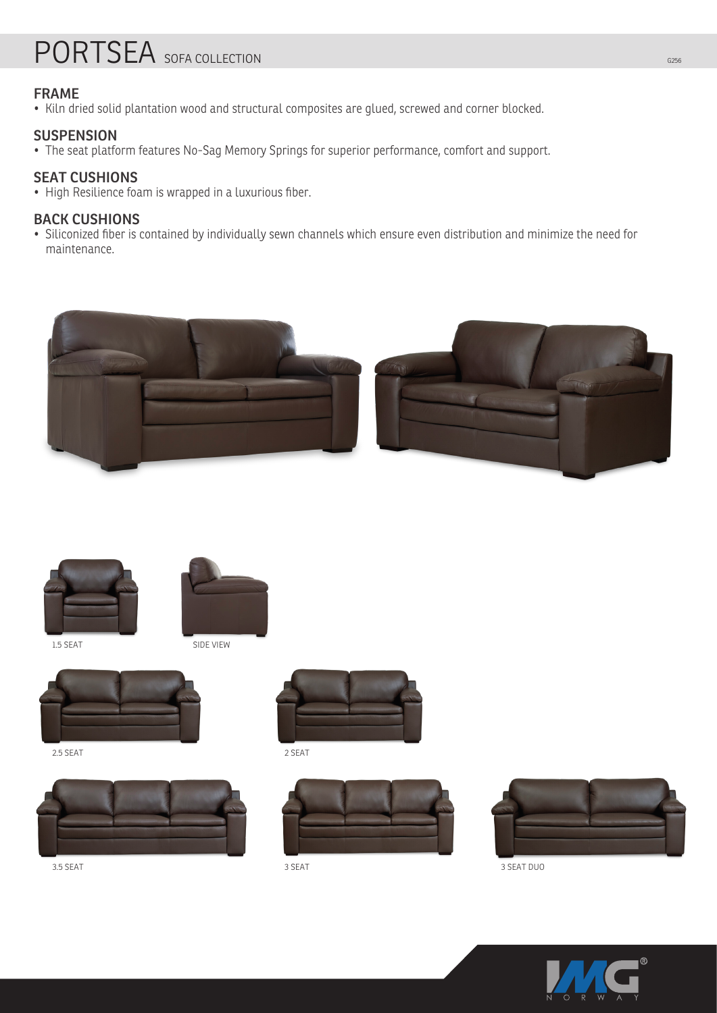# PORTSEA SOFA COLLECTION G256

## **FRAME**

• Kiln dried solid plantation wood and structural composites are glued, screwed and corner blocked.

## **SUSPENSION**

• The seat platform features No-Sag Memory Springs for superior performance, comfort and support.

## **SEAT CUSHIONS**

• High Resilience foam is wrapped in a luxurious fiber.

## **BACK CUSHIONS**

• Siliconized fiber is contained by individually sewn channels which ensure even distribution and minimize the need for maintenance.





1.5 SEAT



SIDE VIEW



2.5 SEAT





2 SEAT





3.5 SEAT 3 SEAT 3 SEAT DUO